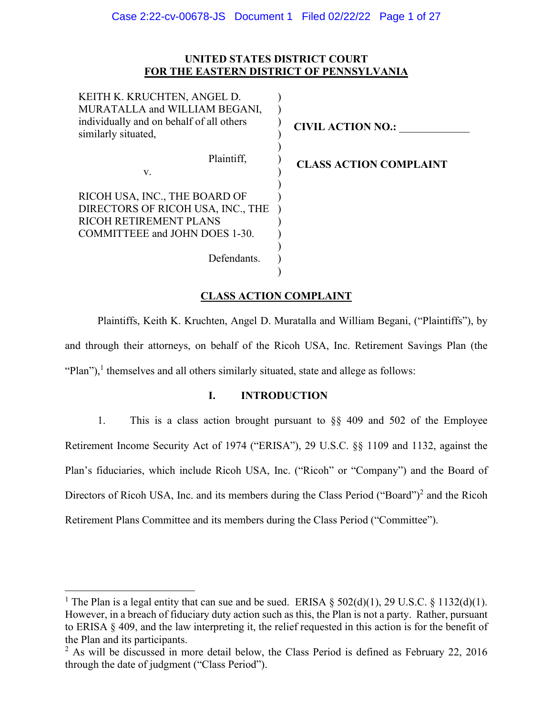# **UNITED STATES DISTRICT COURT FOR THE EASTERN DISTRICT OF PENNSYLVANIA**

| KEITH K. KRUCHTEN, ANGEL D.<br>MURATALLA and WILLIAM BEGANI,                                                                   |                               |
|--------------------------------------------------------------------------------------------------------------------------------|-------------------------------|
| individually and on behalf of all others<br>similarly situated,                                                                | <b>CIVIL ACTION NO.:</b>      |
| Plaintiff,<br>V.                                                                                                               | <b>CLASS ACTION COMPLAINT</b> |
| RICOH USA, INC., THE BOARD OF<br>DIRECTORS OF RICOH USA, INC., THE<br>RICOH RETIREMENT PLANS<br>COMMITTEEE and JOHN DOES 1-30. |                               |
| Defendants.                                                                                                                    |                               |

# **CLASS ACTION COMPLAINT**

 Plaintiffs, Keith K. Kruchten, Angel D. Muratalla and William Begani, ("Plaintiffs"), by and through their attorneys, on behalf of the Ricoh USA, Inc. Retirement Savings Plan (the "Plan"),<sup>1</sup> themselves and all others similarly situated, state and allege as follows:

# **I. INTRODUCTION**

1. This is a class action brought pursuant to §§ 409 and 502 of the Employee Retirement Income Security Act of 1974 ("ERISA"), 29 U.S.C. §§ 1109 and 1132, against the Plan's fiduciaries, which include Ricoh USA, Inc. ("Ricoh" or "Company") and the Board of Directors of Ricoh USA, Inc. and its members during the Class Period ("Board")<sup>2</sup> and the Ricoh Retirement Plans Committee and its members during the Class Period ("Committee").

<sup>&</sup>lt;sup>1</sup> The Plan is a legal entity that can sue and be sued. ERISA  $\S$  502(d)(1), 29 U.S.C.  $\S$  1132(d)(1). However, in a breach of fiduciary duty action such as this, the Plan is not a party. Rather, pursuant to ERISA § 409, and the law interpreting it, the relief requested in this action is for the benefit of the Plan and its participants.

 $2$  As will be discussed in more detail below, the Class Period is defined as February 22, 2016 through the date of judgment ("Class Period").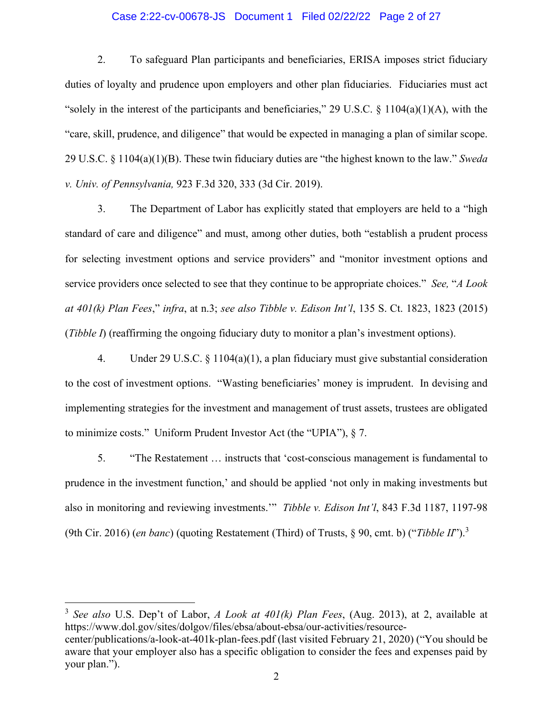## Case 2:22-cv-00678-JS Document 1 Filed 02/22/22 Page 2 of 27

2. To safeguard Plan participants and beneficiaries, ERISA imposes strict fiduciary duties of loyalty and prudence upon employers and other plan fiduciaries. Fiduciaries must act "solely in the interest of the participants and beneficiaries," 29 U.S.C.  $\S$  1104(a)(1)(A), with the "care, skill, prudence, and diligence" that would be expected in managing a plan of similar scope. 29 U.S.C. § 1104(a)(1)(B). These twin fiduciary duties are "the highest known to the law." *Sweda v. Univ. of Pennsylvania,* 923 F.3d 320, 333 (3d Cir. 2019).

3. The Department of Labor has explicitly stated that employers are held to a "high standard of care and diligence" and must, among other duties, both "establish a prudent process for selecting investment options and service providers" and "monitor investment options and service providers once selected to see that they continue to be appropriate choices." *See,* "*A Look at 401(k) Plan Fees*," *infra*, at n.3; *see also Tibble v. Edison Int'l*, 135 S. Ct. 1823, 1823 (2015) (*Tibble I*) (reaffirming the ongoing fiduciary duty to monitor a plan's investment options).

4. Under 29 U.S.C. § 1104(a)(1), a plan fiduciary must give substantial consideration to the cost of investment options. "Wasting beneficiaries' money is imprudent. In devising and implementing strategies for the investment and management of trust assets, trustees are obligated to minimize costs." Uniform Prudent Investor Act (the "UPIA"), § 7.

5. "The Restatement … instructs that 'cost-conscious management is fundamental to prudence in the investment function,' and should be applied 'not only in making investments but also in monitoring and reviewing investments.'" *Tibble v. Edison Int'l*, 843 F.3d 1187, 1197-98 (9th Cir. 2016) (*en banc*) (quoting Restatement (Third) of Trusts, § 90, cmt. b) ("*Tibble II*").<sup>3</sup>

3 *See also* U.S. Dep't of Labor, *A Look at 401(k) Plan Fees*, (Aug. 2013), at 2, available at https://www.dol.gov/sites/dolgov/files/ebsa/about-ebsa/our-activities/resourcecenter/publications/a-look-at-401k-plan-fees.pdf (last visited February 21, 2020) ("You should be aware that your employer also has a specific obligation to consider the fees and expenses paid by your plan.").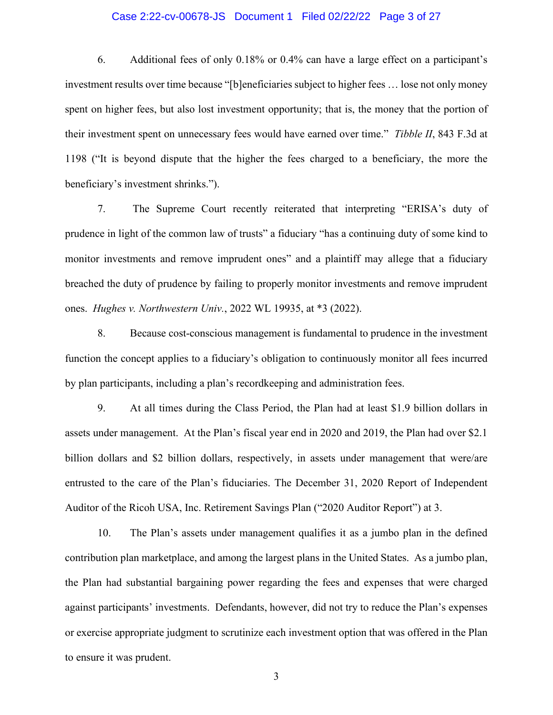### Case 2:22-cv-00678-JS Document 1 Filed 02/22/22 Page 3 of 27

6. Additional fees of only 0.18% or 0.4% can have a large effect on a participant's investment results over time because "[b]eneficiaries subject to higher fees … lose not only money spent on higher fees, but also lost investment opportunity; that is, the money that the portion of their investment spent on unnecessary fees would have earned over time." *Tibble II*, 843 F.3d at 1198 ("It is beyond dispute that the higher the fees charged to a beneficiary, the more the beneficiary's investment shrinks.").

7. The Supreme Court recently reiterated that interpreting "ERISA's duty of prudence in light of the common law of trusts" a fiduciary "has a continuing duty of some kind to monitor investments and remove imprudent ones" and a plaintiff may allege that a fiduciary breached the duty of prudence by failing to properly monitor investments and remove imprudent ones. *Hughes v. Northwestern Univ.*, 2022 WL 19935, at \*3 (2022).

8. Because cost-conscious management is fundamental to prudence in the investment function the concept applies to a fiduciary's obligation to continuously monitor all fees incurred by plan participants, including a plan's recordkeeping and administration fees.

9. At all times during the Class Period, the Plan had at least \$1.9 billion dollars in assets under management. At the Plan's fiscal year end in 2020 and 2019, the Plan had over \$2.1 billion dollars and \$2 billion dollars, respectively, in assets under management that were/are entrusted to the care of the Plan's fiduciaries. The December 31, 2020 Report of Independent Auditor of the Ricoh USA, Inc. Retirement Savings Plan ("2020 Auditor Report") at 3.

10. The Plan's assets under management qualifies it as a jumbo plan in the defined contribution plan marketplace, and among the largest plans in the United States. As a jumbo plan, the Plan had substantial bargaining power regarding the fees and expenses that were charged against participants' investments. Defendants, however, did not try to reduce the Plan's expenses or exercise appropriate judgment to scrutinize each investment option that was offered in the Plan to ensure it was prudent.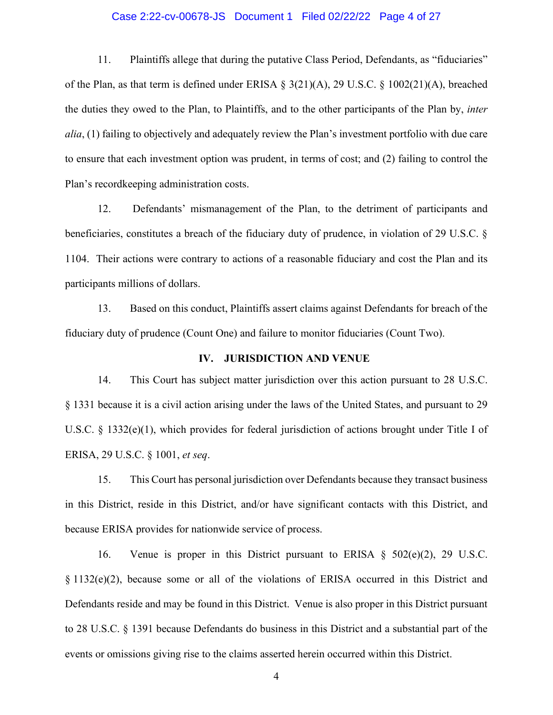### Case 2:22-cv-00678-JS Document 1 Filed 02/22/22 Page 4 of 27

11. Plaintiffs allege that during the putative Class Period, Defendants, as "fiduciaries" of the Plan, as that term is defined under ERISA § 3(21)(A), 29 U.S.C. § 1002(21)(A), breached the duties they owed to the Plan, to Plaintiffs, and to the other participants of the Plan by, *inter alia*, (1) failing to objectively and adequately review the Plan's investment portfolio with due care to ensure that each investment option was prudent, in terms of cost; and (2) failing to control the Plan's recordkeeping administration costs.

12. Defendants' mismanagement of the Plan, to the detriment of participants and beneficiaries, constitutes a breach of the fiduciary duty of prudence, in violation of 29 U.S.C. § 1104. Their actions were contrary to actions of a reasonable fiduciary and cost the Plan and its participants millions of dollars.

13. Based on this conduct, Plaintiffs assert claims against Defendants for breach of the fiduciary duty of prudence (Count One) and failure to monitor fiduciaries (Count Two).

### **IV. JURISDICTION AND VENUE**

14. This Court has subject matter jurisdiction over this action pursuant to 28 U.S.C. § 1331 because it is a civil action arising under the laws of the United States, and pursuant to 29 U.S.C. § 1332(e)(1), which provides for federal jurisdiction of actions brought under Title I of ERISA, 29 U.S.C. § 1001, *et seq*.

15. This Court has personal jurisdiction over Defendants because they transact business in this District, reside in this District, and/or have significant contacts with this District, and because ERISA provides for nationwide service of process.

16. Venue is proper in this District pursuant to ERISA § 502(e)(2), 29 U.S.C. § 1132(e)(2), because some or all of the violations of ERISA occurred in this District and Defendants reside and may be found in this District. Venue is also proper in this District pursuant to 28 U.S.C. § 1391 because Defendants do business in this District and a substantial part of the events or omissions giving rise to the claims asserted herein occurred within this District.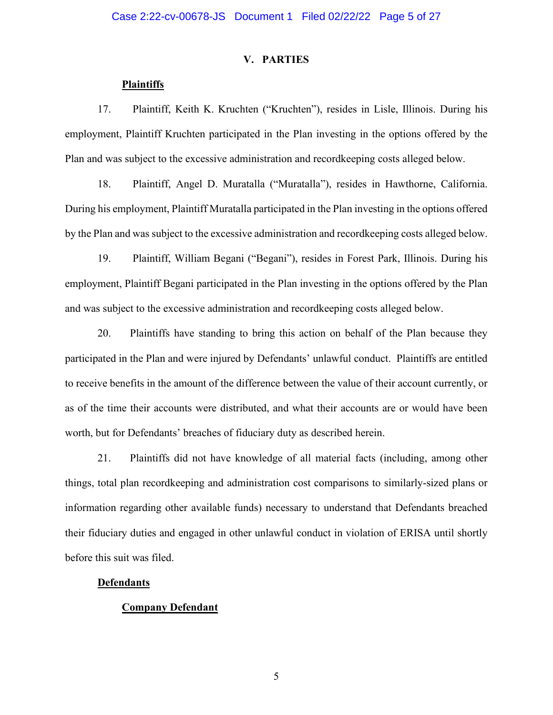## **V. PARTIES**

## **Plaintiffs**

17. Plaintiff, Keith K. Kruchten ("Kruchten"), resides in Lisle, Illinois. During his employment, Plaintiff Kruchten participated in the Plan investing in the options offered by the Plan and was subject to the excessive administration and recordkeeping costs alleged below.

18. Plaintiff, Angel D. Muratalla ("Muratalla"), resides in Hawthorne, California. During his employment, Plaintiff Muratalla participated in the Plan investing in the options offered by the Plan and was subject to the excessive administration and recordkeeping costs alleged below.

19. Plaintiff, William Begani ("Begani"), resides in Forest Park, Illinois. During his employment, Plaintiff Begani participated in the Plan investing in the options offered by the Plan and was subject to the excessive administration and recordkeeping costs alleged below.

20. Plaintiffs have standing to bring this action on behalf of the Plan because they participated in the Plan and were injured by Defendants' unlawful conduct. Plaintiffs are entitled to receive benefits in the amount of the difference between the value of their account currently, or as of the time their accounts were distributed, and what their accounts are or would have been worth, but for Defendants' breaches of fiduciary duty as described herein.

21. Plaintiffs did not have knowledge of all material facts (including, among other things, total plan recordkeeping and administration cost comparisons to similarly-sized plans or information regarding other available funds) necessary to understand that Defendants breached their fiduciary duties and engaged in other unlawful conduct in violation of ERISA until shortly before this suit was filed.

### **Defendants**

## **Company Defendant**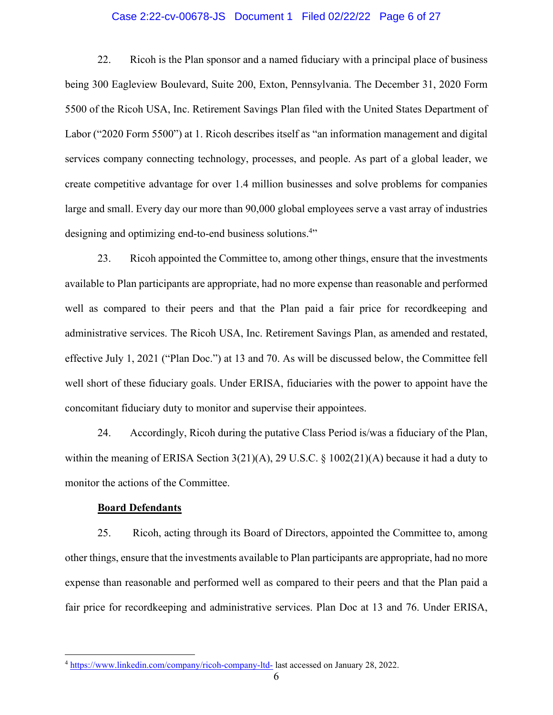## Case 2:22-cv-00678-JS Document 1 Filed 02/22/22 Page 6 of 27

22. Ricoh is the Plan sponsor and a named fiduciary with a principal place of business being 300 Eagleview Boulevard, Suite 200, Exton, Pennsylvania. The December 31, 2020 Form 5500 of the Ricoh USA, Inc. Retirement Savings Plan filed with the United States Department of Labor ("2020 Form 5500") at 1. Ricoh describes itself as "an information management and digital services company connecting technology, processes, and people. As part of a global leader, we create competitive advantage for over 1.4 million businesses and solve problems for companies large and small. Every day our more than 90,000 global employees serve a vast array of industries designing and optimizing end-to-end business solutions.<sup>4</sup>"

23. Ricoh appointed the Committee to, among other things, ensure that the investments available to Plan participants are appropriate, had no more expense than reasonable and performed well as compared to their peers and that the Plan paid a fair price for recordkeeping and administrative services. The Ricoh USA, Inc. Retirement Savings Plan, as amended and restated, effective July 1, 2021 ("Plan Doc.") at 13 and 70. As will be discussed below, the Committee fell well short of these fiduciary goals. Under ERISA, fiduciaries with the power to appoint have the concomitant fiduciary duty to monitor and supervise their appointees.

24. Accordingly, Ricoh during the putative Class Period is/was a fiduciary of the Plan, within the meaning of ERISA Section 3(21)(A), 29 U.S.C. § 1002(21)(A) because it had a duty to monitor the actions of the Committee.

### **Board Defendants**

25. Ricoh, acting through its Board of Directors, appointed the Committee to, among other things, ensure that the investments available to Plan participants are appropriate, had no more expense than reasonable and performed well as compared to their peers and that the Plan paid a fair price for recordkeeping and administrative services. Plan Doc at 13 and 76. Under ERISA,

<sup>4</sup> https://www.linkedin.com/company/ricoh-company-ltd- last accessed on January 28, 2022.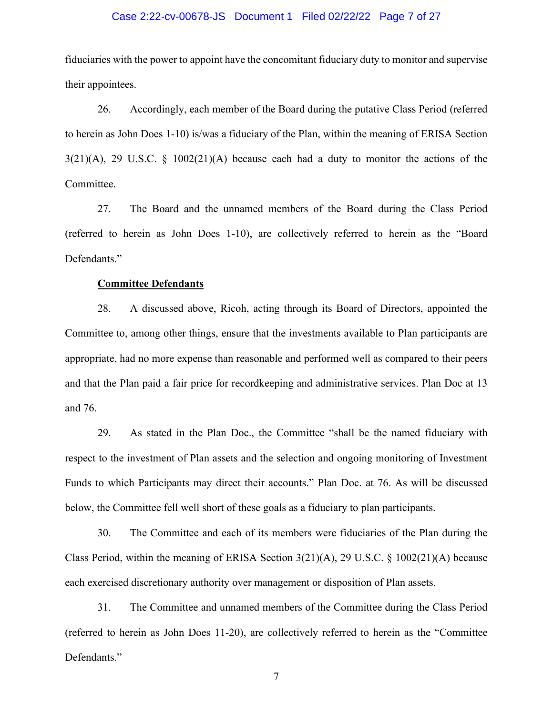### Case 2:22-cv-00678-JS Document 1 Filed 02/22/22 Page 7 of 27

fiduciaries with the power to appoint have the concomitant fiduciary duty to monitor and supervise their appointees.

26. Accordingly, each member of the Board during the putative Class Period (referred to herein as John Does 1-10) is/was a fiduciary of the Plan, within the meaning of ERISA Section  $3(21)(A)$ , 29 U.S.C. §  $1002(21)(A)$  because each had a duty to monitor the actions of the Committee.

27. The Board and the unnamed members of the Board during the Class Period (referred to herein as John Does 1-10), are collectively referred to herein as the "Board Defendants."

## **Committee Defendants**

28. A discussed above, Ricoh, acting through its Board of Directors, appointed the Committee to, among other things, ensure that the investments available to Plan participants are appropriate, had no more expense than reasonable and performed well as compared to their peers and that the Plan paid a fair price for recordkeeping and administrative services. Plan Doc at 13 and 76.

29. As stated in the Plan Doc., the Committee "shall be the named fiduciary with respect to the investment of Plan assets and the selection and ongoing monitoring of Investment Funds to which Participants may direct their accounts." Plan Doc. at 76. As will be discussed below, the Committee fell well short of these goals as a fiduciary to plan participants.

30. The Committee and each of its members were fiduciaries of the Plan during the Class Period, within the meaning of ERISA Section 3(21)(A), 29 U.S.C. § 1002(21)(A) because each exercised discretionary authority over management or disposition of Plan assets.

31. The Committee and unnamed members of the Committee during the Class Period (referred to herein as John Does 11-20), are collectively referred to herein as the "Committee Defendants."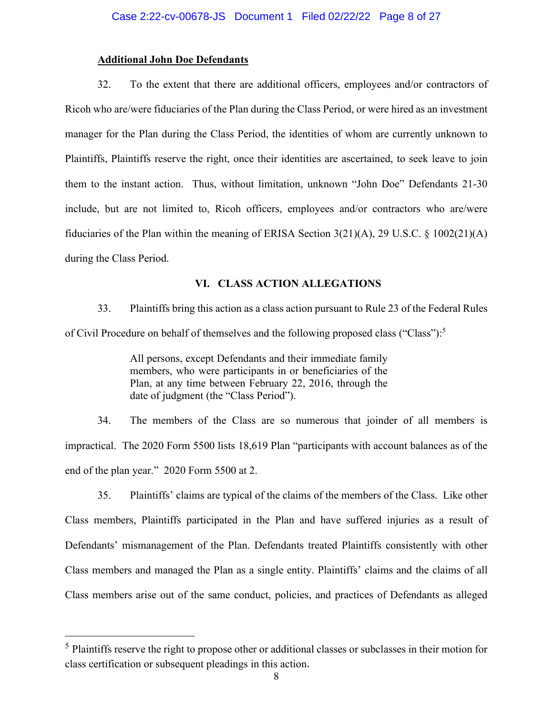## **Additional John Doe Defendants**

32. To the extent that there are additional officers, employees and/or contractors of Ricoh who are/were fiduciaries of the Plan during the Class Period, or were hired as an investment manager for the Plan during the Class Period, the identities of whom are currently unknown to Plaintiffs, Plaintiffs reserve the right, once their identities are ascertained, to seek leave to join them to the instant action. Thus, without limitation, unknown "John Doe" Defendants 21-30 include, but are not limited to, Ricoh officers, employees and/or contractors who are/were fiduciaries of the Plan within the meaning of ERISA Section 3(21)(A), 29 U.S.C. § 1002(21)(A) during the Class Period.

# **VI. CLASS ACTION ALLEGATIONS**

33. Plaintiffs bring this action as a class action pursuant to Rule 23 of the Federal Rules of Civil Procedure on behalf of themselves and the following proposed class ("Class"):<sup>5</sup>

> All persons, except Defendants and their immediate family members, who were participants in or beneficiaries of the Plan, at any time between February 22, 2016, through the date of judgment (the "Class Period").

34. The members of the Class are so numerous that joinder of all members is impractical. The 2020 Form 5500 lists 18,619 Plan "participants with account balances as of the end of the plan year." 2020 Form 5500 at 2.

35. Plaintiffs' claims are typical of the claims of the members of the Class. Like other Class members, Plaintiffs participated in the Plan and have suffered injuries as a result of Defendants' mismanagement of the Plan. Defendants treated Plaintiffs consistently with other Class members and managed the Plan as a single entity. Plaintiffs' claims and the claims of all Class members arise out of the same conduct, policies, and practices of Defendants as alleged

<sup>&</sup>lt;sup>5</sup> Plaintiffs reserve the right to propose other or additional classes or subclasses in their motion for class certification or subsequent pleadings in this action.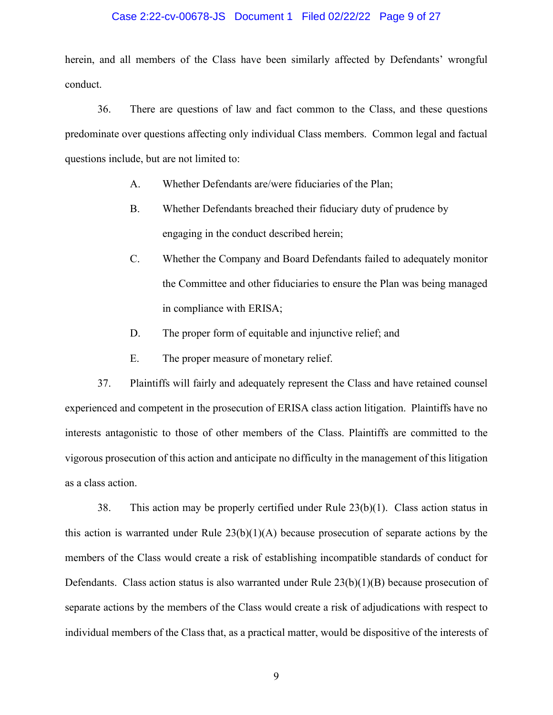### Case 2:22-cv-00678-JS Document 1 Filed 02/22/22 Page 9 of 27

herein, and all members of the Class have been similarly affected by Defendants' wrongful conduct.

36. There are questions of law and fact common to the Class, and these questions predominate over questions affecting only individual Class members. Common legal and factual questions include, but are not limited to:

- A. Whether Defendants are/were fiduciaries of the Plan;
- B. Whether Defendants breached their fiduciary duty of prudence by engaging in the conduct described herein;
- C. Whether the Company and Board Defendants failed to adequately monitor the Committee and other fiduciaries to ensure the Plan was being managed in compliance with ERISA;
- D. The proper form of equitable and injunctive relief; and
- E. The proper measure of monetary relief.

37. Plaintiffs will fairly and adequately represent the Class and have retained counsel experienced and competent in the prosecution of ERISA class action litigation. Plaintiffs have no interests antagonistic to those of other members of the Class. Plaintiffs are committed to the vigorous prosecution of this action and anticipate no difficulty in the management of this litigation as a class action.

38. This action may be properly certified under Rule 23(b)(1). Class action status in this action is warranted under Rule  $23(b)(1)(A)$  because prosecution of separate actions by the members of the Class would create a risk of establishing incompatible standards of conduct for Defendants. Class action status is also warranted under Rule 23(b)(1)(B) because prosecution of separate actions by the members of the Class would create a risk of adjudications with respect to individual members of the Class that, as a practical matter, would be dispositive of the interests of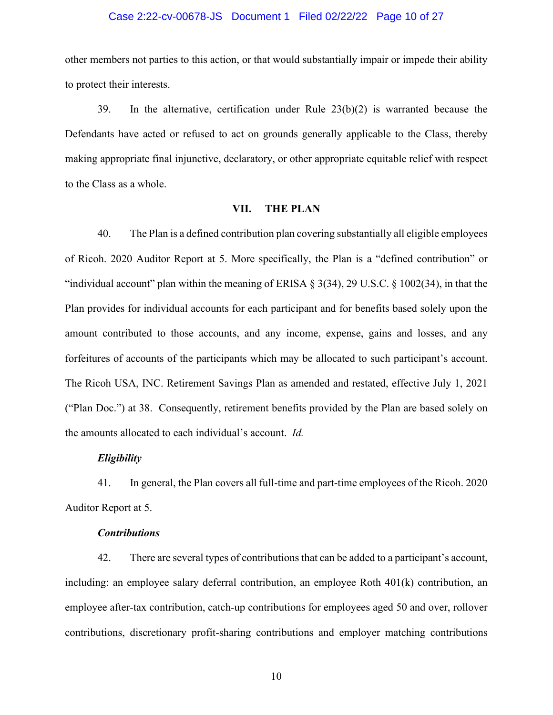### Case 2:22-cv-00678-JS Document 1 Filed 02/22/22 Page 10 of 27

other members not parties to this action, or that would substantially impair or impede their ability to protect their interests.

39. In the alternative, certification under Rule 23(b)(2) is warranted because the Defendants have acted or refused to act on grounds generally applicable to the Class, thereby making appropriate final injunctive, declaratory, or other appropriate equitable relief with respect to the Class as a whole.

## **VII. THE PLAN**

40. The Plan is a defined contribution plan covering substantially all eligible employees of Ricoh. 2020 Auditor Report at 5. More specifically, the Plan is a "defined contribution" or "individual account" plan within the meaning of ERISA  $\S 3(34)$ , 29 U.S.C.  $\S 1002(34)$ , in that the Plan provides for individual accounts for each participant and for benefits based solely upon the amount contributed to those accounts, and any income, expense, gains and losses, and any forfeitures of accounts of the participants which may be allocated to such participant's account. The Ricoh USA, INC. Retirement Savings Plan as amended and restated, effective July 1, 2021 ("Plan Doc.") at 38. Consequently, retirement benefits provided by the Plan are based solely on the amounts allocated to each individual's account. *Id.*

## *Eligibility*

41. In general, the Plan covers all full-time and part-time employees of the Ricoh. 2020 Auditor Report at 5.

## *Contributions*

42. There are several types of contributions that can be added to a participant's account, including: an employee salary deferral contribution, an employee Roth 401(k) contribution, an employee after-tax contribution, catch-up contributions for employees aged 50 and over, rollover contributions, discretionary profit-sharing contributions and employer matching contributions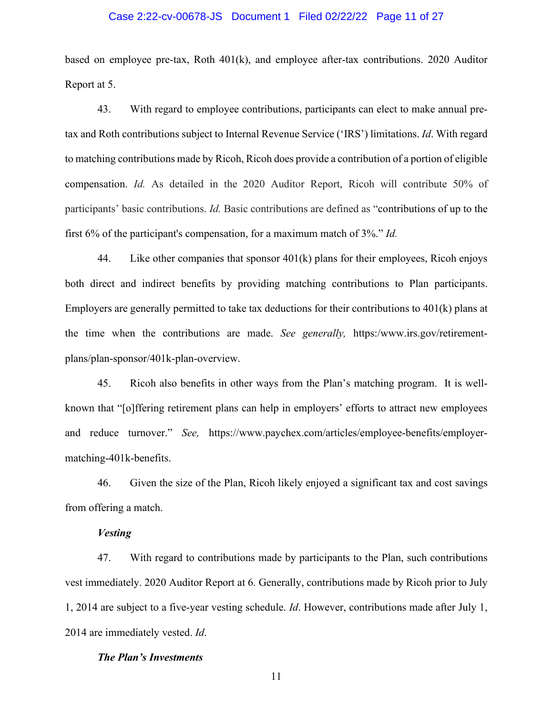### Case 2:22-cv-00678-JS Document 1 Filed 02/22/22 Page 11 of 27

based on employee pre-tax, Roth 401(k), and employee after-tax contributions. 2020 Auditor Report at 5.

43. With regard to employee contributions, participants can elect to make annual pretax and Roth contributions subject to Internal Revenue Service ('IRS') limitations. *Id*. With regard to matching contributions made by Ricoh, Ricoh does provide a contribution of a portion of eligible compensation. *Id.* As detailed in the 2020 Auditor Report, Ricoh will contribute 50% of participants' basic contributions. *Id.* Basic contributions are defined as "contributions of up to the first 6% of the participant's compensation, for a maximum match of 3%." *Id.*

44. Like other companies that sponsor 401(k) plans for their employees, Ricoh enjoys both direct and indirect benefits by providing matching contributions to Plan participants. Employers are generally permitted to take tax deductions for their contributions to 401(k) plans at the time when the contributions are made. *See generally,* https:/www.irs.gov/retirementplans/plan-sponsor/401k-plan-overview.

45. Ricoh also benefits in other ways from the Plan's matching program. It is wellknown that "[o]ffering retirement plans can help in employers' efforts to attract new employees and reduce turnover." *See,* https://www.paychex.com/articles/employee-benefits/employermatching-401k-benefits.

46. Given the size of the Plan, Ricoh likely enjoyed a significant tax and cost savings from offering a match.

# *Vesting*

47. With regard to contributions made by participants to the Plan, such contributions vest immediately. 2020 Auditor Report at 6. Generally, contributions made by Ricoh prior to July 1, 2014 are subject to a five-year vesting schedule. *Id*. However, contributions made after July 1, 2014 are immediately vested. *Id*.

#### *The Plan's Investments*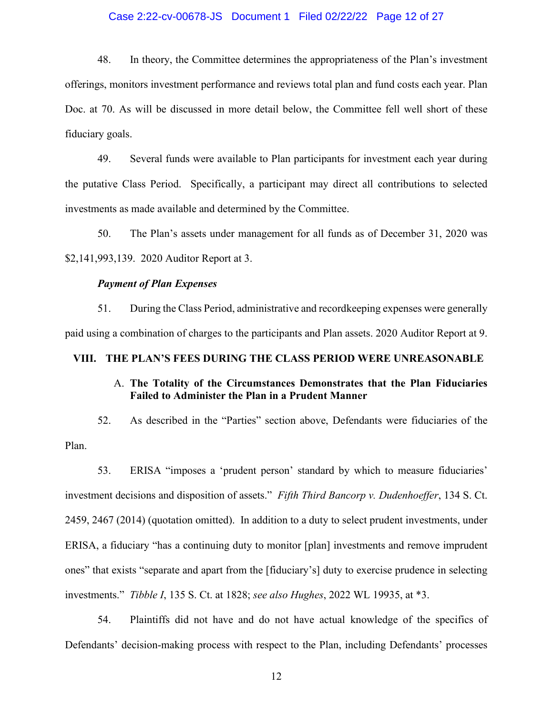## Case 2:22-cv-00678-JS Document 1 Filed 02/22/22 Page 12 of 27

48. In theory, the Committee determines the appropriateness of the Plan's investment offerings, monitors investment performance and reviews total plan and fund costs each year. Plan Doc. at 70. As will be discussed in more detail below, the Committee fell well short of these fiduciary goals.

49. Several funds were available to Plan participants for investment each year during the putative Class Period. Specifically, a participant may direct all contributions to selected investments as made available and determined by the Committee.

50. The Plan's assets under management for all funds as of December 31, 2020 was \$2,141,993,139. 2020 Auditor Report at 3.

## *Payment of Plan Expenses*

51. During the Class Period, administrative and recordkeeping expenses were generally paid using a combination of charges to the participants and Plan assets. 2020 Auditor Report at 9.

# **VIII. THE PLAN'S FEES DURING THE CLASS PERIOD WERE UNREASONABLE**

# A. **The Totality of the Circumstances Demonstrates that the Plan Fiduciaries Failed to Administer the Plan in a Prudent Manner**

52. As described in the "Parties" section above, Defendants were fiduciaries of the Plan.

53. ERISA "imposes a 'prudent person' standard by which to measure fiduciaries' investment decisions and disposition of assets." *Fifth Third Bancorp v. Dudenhoeffer*, 134 S. Ct. 2459, 2467 (2014) (quotation omitted). In addition to a duty to select prudent investments, under ERISA, a fiduciary "has a continuing duty to monitor [plan] investments and remove imprudent ones" that exists "separate and apart from the [fiduciary's] duty to exercise prudence in selecting investments." *Tibble I*, 135 S. Ct. at 1828; *see also Hughes*, 2022 WL 19935, at \*3.

54. Plaintiffs did not have and do not have actual knowledge of the specifics of Defendants' decision-making process with respect to the Plan, including Defendants' processes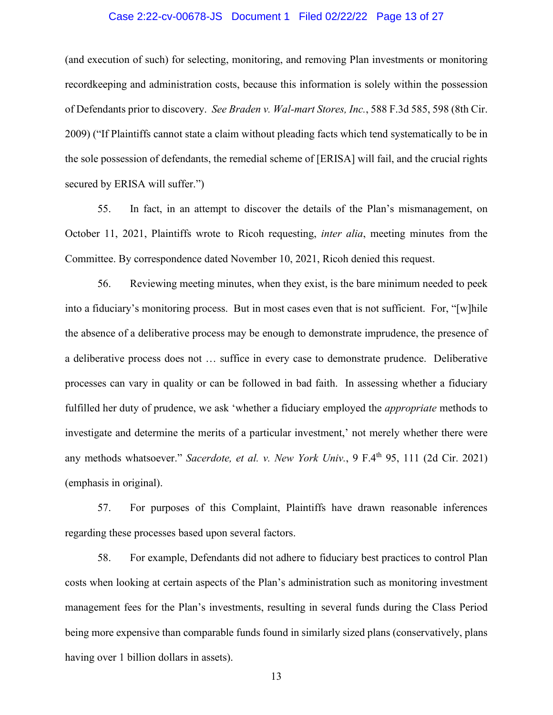### Case 2:22-cv-00678-JS Document 1 Filed 02/22/22 Page 13 of 27

(and execution of such) for selecting, monitoring, and removing Plan investments or monitoring recordkeeping and administration costs, because this information is solely within the possession of Defendants prior to discovery. *See Braden v. Wal-mart Stores, Inc.*, 588 F.3d 585, 598 (8th Cir. 2009) ("If Plaintiffs cannot state a claim without pleading facts which tend systematically to be in the sole possession of defendants, the remedial scheme of [ERISA] will fail, and the crucial rights secured by ERISA will suffer.")

55. In fact, in an attempt to discover the details of the Plan's mismanagement, on October 11, 2021, Plaintiffs wrote to Ricoh requesting, *inter alia*, meeting minutes from the Committee. By correspondence dated November 10, 2021, Ricoh denied this request.

56. Reviewing meeting minutes, when they exist, is the bare minimum needed to peek into a fiduciary's monitoring process. But in most cases even that is not sufficient. For, "[w]hile the absence of a deliberative process may be enough to demonstrate imprudence, the presence of a deliberative process does not … suffice in every case to demonstrate prudence. Deliberative processes can vary in quality or can be followed in bad faith. In assessing whether a fiduciary fulfilled her duty of prudence, we ask 'whether a fiduciary employed the *appropriate* methods to investigate and determine the merits of a particular investment,' not merely whether there were any methods whatsoever." *Sacerdote, et al. v. New York Univ.*, 9 F.4<sup>th</sup> 95, 111 (2d Cir. 2021) (emphasis in original).

57. For purposes of this Complaint, Plaintiffs have drawn reasonable inferences regarding these processes based upon several factors.

58. For example, Defendants did not adhere to fiduciary best practices to control Plan costs when looking at certain aspects of the Plan's administration such as monitoring investment management fees for the Plan's investments, resulting in several funds during the Class Period being more expensive than comparable funds found in similarly sized plans (conservatively, plans having over 1 billion dollars in assets).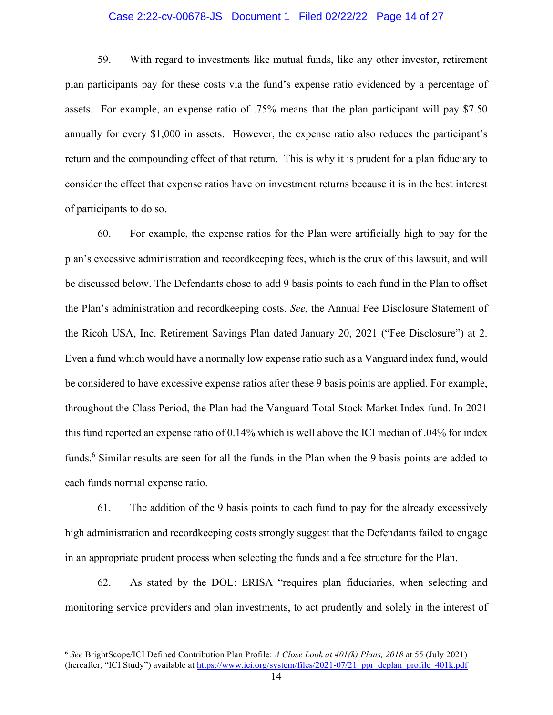## Case 2:22-cv-00678-JS Document 1 Filed 02/22/22 Page 14 of 27

59. With regard to investments like mutual funds, like any other investor, retirement plan participants pay for these costs via the fund's expense ratio evidenced by a percentage of assets. For example, an expense ratio of .75% means that the plan participant will pay \$7.50 annually for every \$1,000 in assets. However, the expense ratio also reduces the participant's return and the compounding effect of that return. This is why it is prudent for a plan fiduciary to consider the effect that expense ratios have on investment returns because it is in the best interest of participants to do so.

60. For example, the expense ratios for the Plan were artificially high to pay for the plan's excessive administration and recordkeeping fees, which is the crux of this lawsuit, and will be discussed below. The Defendants chose to add 9 basis points to each fund in the Plan to offset the Plan's administration and recordkeeping costs. *See,* the Annual Fee Disclosure Statement of the Ricoh USA, Inc. Retirement Savings Plan dated January 20, 2021 ("Fee Disclosure") at 2. Even a fund which would have a normally low expense ratio such as a Vanguard index fund, would be considered to have excessive expense ratios after these 9 basis points are applied. For example, throughout the Class Period, the Plan had the Vanguard Total Stock Market Index fund. In 2021 this fund reported an expense ratio of 0.14% which is well above the ICI median of .04% for index funds.<sup>6</sup> Similar results are seen for all the funds in the Plan when the 9 basis points are added to each funds normal expense ratio.

61. The addition of the 9 basis points to each fund to pay for the already excessively high administration and recordkeeping costs strongly suggest that the Defendants failed to engage in an appropriate prudent process when selecting the funds and a fee structure for the Plan.

62. As stated by the DOL: ERISA "requires plan fiduciaries, when selecting and monitoring service providers and plan investments, to act prudently and solely in the interest of

<sup>6</sup> *See* BrightScope/ICI Defined Contribution Plan Profile: *A Close Look at 401(k) Plans, 2018* at 55 (July 2021) (hereafter, "ICI Study") available at https://www.ici.org/system/files/2021-07/21\_ppr\_dcplan\_profile\_401k.pdf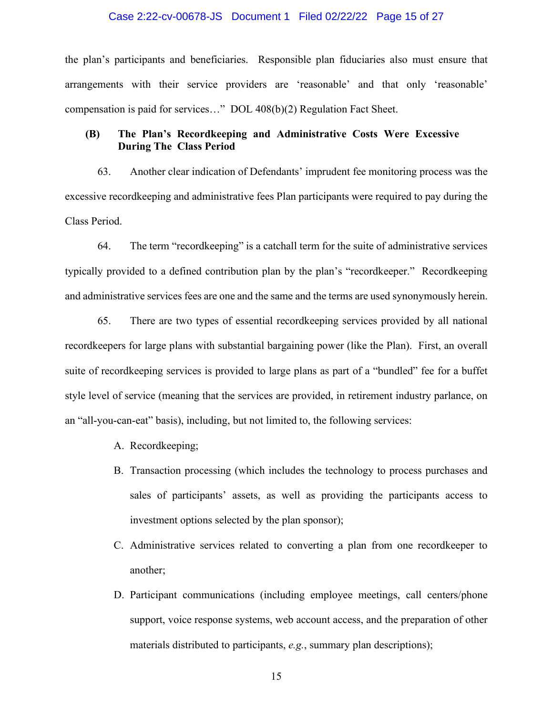### Case 2:22-cv-00678-JS Document 1 Filed 02/22/22 Page 15 of 27

the plan's participants and beneficiaries. Responsible plan fiduciaries also must ensure that arrangements with their service providers are 'reasonable' and that only 'reasonable' compensation is paid for services…" DOL 408(b)(2) Regulation Fact Sheet.

# **(B) The Plan's Recordkeeping and Administrative Costs Were Excessive During The Class Period**

63. Another clear indication of Defendants' imprudent fee monitoring process was the excessive recordkeeping and administrative fees Plan participants were required to pay during the Class Period.

64. The term "recordkeeping" is a catchall term for the suite of administrative services typically provided to a defined contribution plan by the plan's "recordkeeper." Recordkeeping and administrative services fees are one and the same and the terms are used synonymously herein.

65. There are two types of essential recordkeeping services provided by all national recordkeepers for large plans with substantial bargaining power (like the Plan). First, an overall suite of recordkeeping services is provided to large plans as part of a "bundled" fee for a buffet style level of service (meaning that the services are provided, in retirement industry parlance, on an "all-you-can-eat" basis), including, but not limited to, the following services:

- A. Recordkeeping;
- B. Transaction processing (which includes the technology to process purchases and sales of participants' assets, as well as providing the participants access to investment options selected by the plan sponsor);
- C. Administrative services related to converting a plan from one recordkeeper to another;
- D. Participant communications (including employee meetings, call centers/phone support, voice response systems, web account access, and the preparation of other materials distributed to participants, *e.g.*, summary plan descriptions);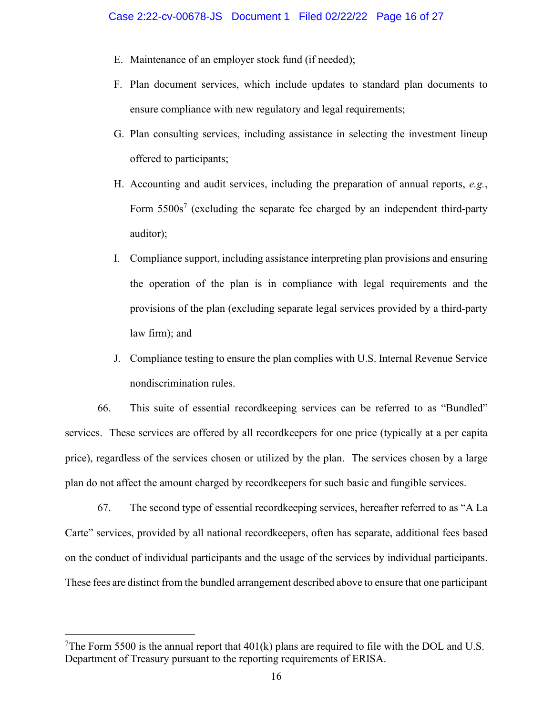- E. Maintenance of an employer stock fund (if needed);
- F. Plan document services, which include updates to standard plan documents to ensure compliance with new regulatory and legal requirements;
- G. Plan consulting services, including assistance in selecting the investment lineup offered to participants;
- H. Accounting and audit services, including the preparation of annual reports, *e.g.*, Form  $5500s<sup>7</sup>$  (excluding the separate fee charged by an independent third-party auditor);
- I. Compliance support, including assistance interpreting plan provisions and ensuring the operation of the plan is in compliance with legal requirements and the provisions of the plan (excluding separate legal services provided by a third-party law firm); and
- J. Compliance testing to ensure the plan complies with U.S. Internal Revenue Service nondiscrimination rules.

66. This suite of essential recordkeeping services can be referred to as "Bundled" services. These services are offered by all recordkeepers for one price (typically at a per capita price), regardless of the services chosen or utilized by the plan. The services chosen by a large plan do not affect the amount charged by recordkeepers for such basic and fungible services.

67. The second type of essential recordkeeping services, hereafter referred to as "A La Carte" services, provided by all national recordkeepers, often has separate, additional fees based on the conduct of individual participants and the usage of the services by individual participants. These fees are distinct from the bundled arrangement described above to ensure that one participant

<sup>&</sup>lt;sup>7</sup>The Form 5500 is the annual report that  $401(k)$  plans are required to file with the DOL and U.S. Department of Treasury pursuant to the reporting requirements of ERISA.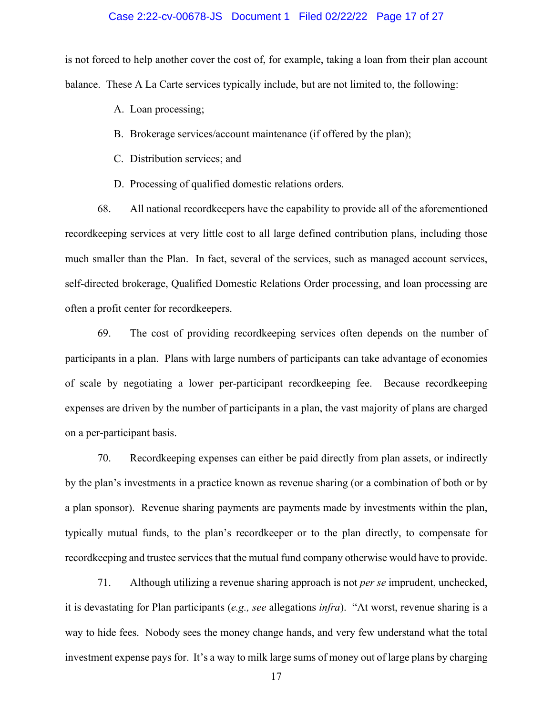### Case 2:22-cv-00678-JS Document 1 Filed 02/22/22 Page 17 of 27

is not forced to help another cover the cost of, for example, taking a loan from their plan account balance. These A La Carte services typically include, but are not limited to, the following:

- A. Loan processing;
- B. Brokerage services/account maintenance (if offered by the plan);
- C. Distribution services; and
- D. Processing of qualified domestic relations orders.

68. All national recordkeepers have the capability to provide all of the aforementioned recordkeeping services at very little cost to all large defined contribution plans, including those much smaller than the Plan. In fact, several of the services, such as managed account services, self-directed brokerage, Qualified Domestic Relations Order processing, and loan processing are often a profit center for recordkeepers.

69. The cost of providing recordkeeping services often depends on the number of participants in a plan. Plans with large numbers of participants can take advantage of economies of scale by negotiating a lower per-participant recordkeeping fee. Because recordkeeping expenses are driven by the number of participants in a plan, the vast majority of plans are charged on a per-participant basis.

70. Recordkeeping expenses can either be paid directly from plan assets, or indirectly by the plan's investments in a practice known as revenue sharing (or a combination of both or by a plan sponsor). Revenue sharing payments are payments made by investments within the plan, typically mutual funds, to the plan's recordkeeper or to the plan directly, to compensate for recordkeeping and trustee services that the mutual fund company otherwise would have to provide.

71. Although utilizing a revenue sharing approach is not *per se* imprudent, unchecked, it is devastating for Plan participants (*e.g., see* allegations *infra*). "At worst, revenue sharing is a way to hide fees. Nobody sees the money change hands, and very few understand what the total investment expense pays for. It's a way to milk large sums of money out of large plans by charging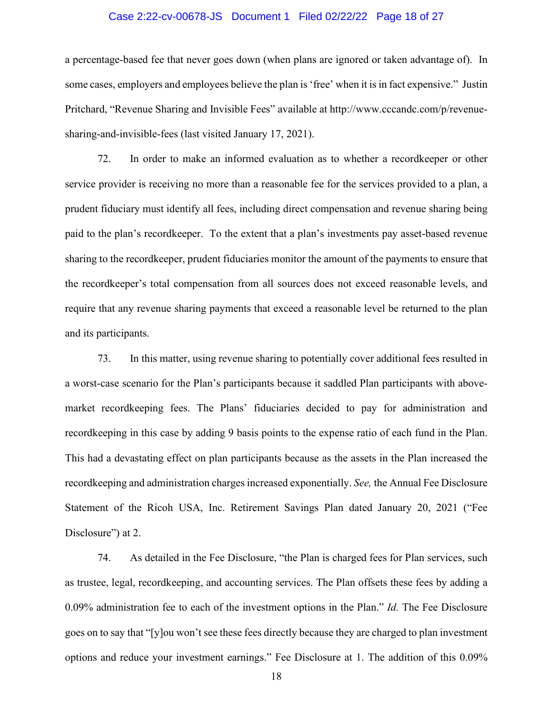### Case 2:22-cv-00678-JS Document 1 Filed 02/22/22 Page 18 of 27

a percentage-based fee that never goes down (when plans are ignored or taken advantage of). In some cases, employers and employees believe the plan is 'free' when it is in fact expensive." Justin Pritchard, "Revenue Sharing and Invisible Fees" available at http://www.cccandc.com/p/revenuesharing-and-invisible-fees (last visited January 17, 2021).

72. In order to make an informed evaluation as to whether a recordkeeper or other service provider is receiving no more than a reasonable fee for the services provided to a plan, a prudent fiduciary must identify all fees, including direct compensation and revenue sharing being paid to the plan's recordkeeper. To the extent that a plan's investments pay asset-based revenue sharing to the recordkeeper, prudent fiduciaries monitor the amount of the payments to ensure that the recordkeeper's total compensation from all sources does not exceed reasonable levels, and require that any revenue sharing payments that exceed a reasonable level be returned to the plan and its participants.

73. In this matter, using revenue sharing to potentially cover additional fees resulted in a worst-case scenario for the Plan's participants because it saddled Plan participants with abovemarket recordkeeping fees. The Plans' fiduciaries decided to pay for administration and recordkeeping in this case by adding 9 basis points to the expense ratio of each fund in the Plan. This had a devastating effect on plan participants because as the assets in the Plan increased the recordkeeping and administration charges increased exponentially. *See,* the Annual Fee Disclosure Statement of the Ricoh USA, Inc. Retirement Savings Plan dated January 20, 2021 ("Fee Disclosure") at 2.

74. As detailed in the Fee Disclosure, "the Plan is charged fees for Plan services, such as trustee, legal, recordkeeping, and accounting services. The Plan offsets these fees by adding a 0.09% administration fee to each of the investment options in the Plan." *Id.* The Fee Disclosure goes on to say that "[y]ou won't see these fees directly because they are charged to plan investment options and reduce your investment earnings." Fee Disclosure at 1. The addition of this 0.09%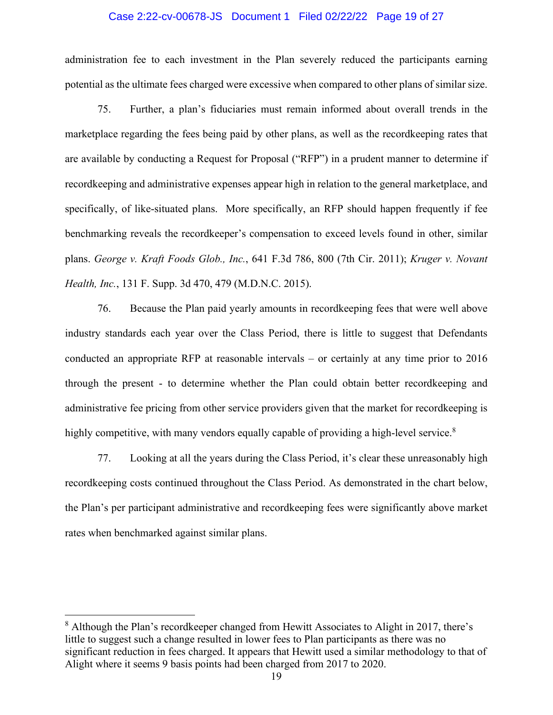### Case 2:22-cv-00678-JS Document 1 Filed 02/22/22 Page 19 of 27

administration fee to each investment in the Plan severely reduced the participants earning potential as the ultimate fees charged were excessive when compared to other plans of similar size.

75. Further, a plan's fiduciaries must remain informed about overall trends in the marketplace regarding the fees being paid by other plans, as well as the recordkeeping rates that are available by conducting a Request for Proposal ("RFP") in a prudent manner to determine if recordkeeping and administrative expenses appear high in relation to the general marketplace, and specifically, of like-situated plans. More specifically, an RFP should happen frequently if fee benchmarking reveals the recordkeeper's compensation to exceed levels found in other, similar plans. *George v. Kraft Foods Glob., Inc.*, 641 F.3d 786, 800 (7th Cir. 2011); *Kruger v. Novant Health, Inc.*, 131 F. Supp. 3d 470, 479 (M.D.N.C. 2015).

76. Because the Plan paid yearly amounts in recordkeeping fees that were well above industry standards each year over the Class Period, there is little to suggest that Defendants conducted an appropriate RFP at reasonable intervals – or certainly at any time prior to 2016 through the present - to determine whether the Plan could obtain better recordkeeping and administrative fee pricing from other service providers given that the market for recordkeeping is highly competitive, with many vendors equally capable of providing a high-level service.<sup>8</sup>

77. Looking at all the years during the Class Period, it's clear these unreasonably high recordkeeping costs continued throughout the Class Period. As demonstrated in the chart below, the Plan's per participant administrative and recordkeeping fees were significantly above market rates when benchmarked against similar plans.

<sup>&</sup>lt;sup>8</sup> Although the Plan's recordkeeper changed from Hewitt Associates to Alight in 2017, there's little to suggest such a change resulted in lower fees to Plan participants as there was no significant reduction in fees charged. It appears that Hewitt used a similar methodology to that of Alight where it seems 9 basis points had been charged from 2017 to 2020.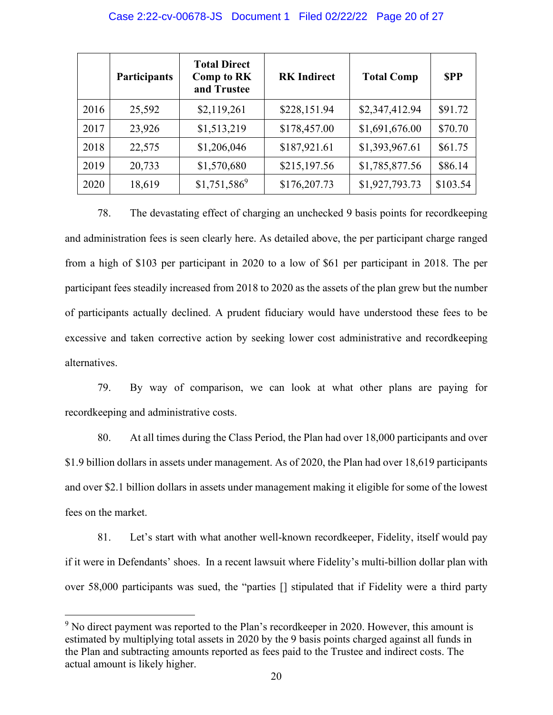### Case 2:22-cv-00678-JS Document 1 Filed 02/22/22 Page 20 of 27

|      | <b>Participants</b> | <b>Total Direct</b><br><b>Comp to RK</b><br>and Trustee | <b>RK</b> Indirect | <b>Total Comp</b> | <b>SPP</b> |
|------|---------------------|---------------------------------------------------------|--------------------|-------------------|------------|
| 2016 | 25,592              | \$2,119,261                                             | \$228,151.94       | \$2,347,412.94    | \$91.72    |
| 2017 | 23,926              | \$1,513,219                                             | \$178,457.00       | \$1,691,676.00    | \$70.70    |
| 2018 | 22,575              | \$1,206,046                                             | \$187,921.61       | \$1,393,967.61    | \$61.75    |
| 2019 | 20,733              | \$1,570,680                                             | \$215,197.56       | \$1,785,877.56    | \$86.14    |
| 2020 | 18,619              | $$1,751,586^9$                                          | \$176,207.73       | \$1,927,793.73    | \$103.54   |

78. The devastating effect of charging an unchecked 9 basis points for recordkeeping and administration fees is seen clearly here. As detailed above, the per participant charge ranged from a high of \$103 per participant in 2020 to a low of \$61 per participant in 2018. The per participant fees steadily increased from 2018 to 2020 as the assets of the plan grew but the number of participants actually declined. A prudent fiduciary would have understood these fees to be excessive and taken corrective action by seeking lower cost administrative and recordkeeping alternatives.

79. By way of comparison, we can look at what other plans are paying for recordkeeping and administrative costs.

80. At all times during the Class Period, the Plan had over 18,000 participants and over \$1.9 billion dollars in assets under management. As of 2020, the Plan had over 18,619 participants and over \$2.1 billion dollars in assets under management making it eligible for some of the lowest fees on the market.

81. Let's start with what another well-known recordkeeper, Fidelity, itself would pay if it were in Defendants' shoes. In a recent lawsuit where Fidelity's multi-billion dollar plan with over 58,000 participants was sued, the "parties [] stipulated that if Fidelity were a third party

 $9$  No direct payment was reported to the Plan's recordkeeper in 2020. However, this amount is estimated by multiplying total assets in 2020 by the 9 basis points charged against all funds in the Plan and subtracting amounts reported as fees paid to the Trustee and indirect costs. The actual amount is likely higher.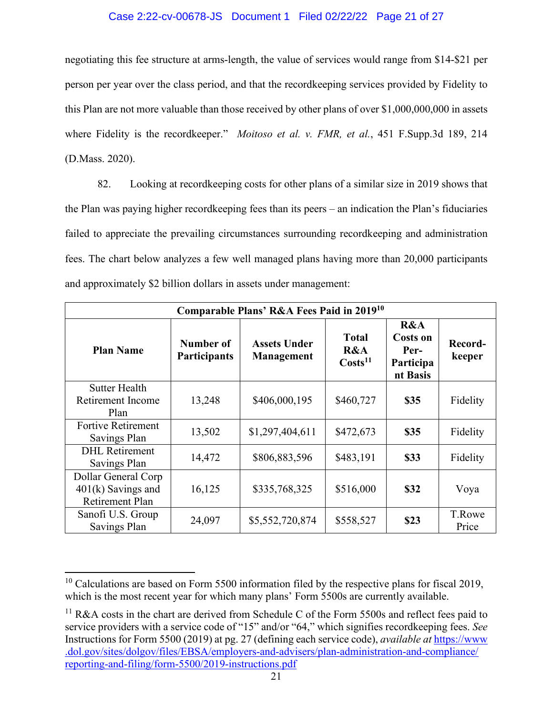# Case 2:22-cv-00678-JS Document 1 Filed 02/22/22 Page 21 of 27

negotiating this fee structure at arms-length, the value of services would range from \$14-\$21 per person per year over the class period, and that the recordkeeping services provided by Fidelity to this Plan are not more valuable than those received by other plans of over \$1,000,000,000 in assets where Fidelity is the recordkeeper." *Moitoso et al. v. FMR, et al.*, 451 F.Supp.3d 189, 214 (D.Mass. 2020).

82. Looking at recordkeeping costs for other plans of a similar size in 2019 shows that the Plan was paying higher recordkeeping fees than its peers – an indication the Plan's fiduciaries failed to appreciate the prevailing circumstances surrounding recordkeeping and administration fees. The chart below analyzes a few well managed plans having more than 20,000 participants and approximately \$2 billion dollars in assets under management:

| Comparable Plans' R&A Fees Paid in 2019 <sup>10</sup>                 |                                  |                                   |                                            |                                                         |                   |  |  |  |
|-----------------------------------------------------------------------|----------------------------------|-----------------------------------|--------------------------------------------|---------------------------------------------------------|-------------------|--|--|--|
| <b>Plan Name</b>                                                      | Number of<br><b>Participants</b> | <b>Assets Under</b><br>Management | <b>Total</b><br>R&A<br>Costs <sup>11</sup> | R&A<br><b>Costs on</b><br>Per-<br>Participa<br>nt Basis | Record-<br>keeper |  |  |  |
| <b>Sutter Health</b><br>Retirement Income<br>Plan                     | 13,248                           | \$406,000,195                     | \$460,727                                  | \$35                                                    | Fidelity          |  |  |  |
| Fortive Retirement<br>Savings Plan                                    | 13,502                           | \$1,297,404,611                   | \$472,673                                  | \$35                                                    | Fidelity          |  |  |  |
| <b>DHL</b> Retirement<br>Savings Plan                                 | 14,472                           | \$806,883,596                     | \$483,191                                  | \$33                                                    | Fidelity          |  |  |  |
| Dollar General Corp<br>$401(k)$ Savings and<br><b>Retirement Plan</b> | 16,125                           | \$335,768,325                     | \$516,000                                  | \$32                                                    | Voya              |  |  |  |
| Sanofi U.S. Group<br>Savings Plan                                     | 24,097                           | \$5,552,720,874                   | \$558,527                                  | \$23                                                    | T.Rowe<br>Price   |  |  |  |

 $10$  Calculations are based on Form 5500 information filed by the respective plans for fiscal 2019, which is the most recent year for which many plans' Form 5500s are currently available.

<sup>&</sup>lt;sup>11</sup> R&A costs in the chart are derived from Schedule C of the Form 5500s and reflect fees paid to service providers with a service code of "15" and/or "64," which signifies recordkeeping fees. *See* Instructions for Form 5500 (2019) at pg. 27 (defining each service code), *available at* https://www .dol.gov/sites/dolgov/files/EBSA/employers-and-advisers/plan-administration-and-compliance/ reporting-and-filing/form-5500/2019-instructions.pdf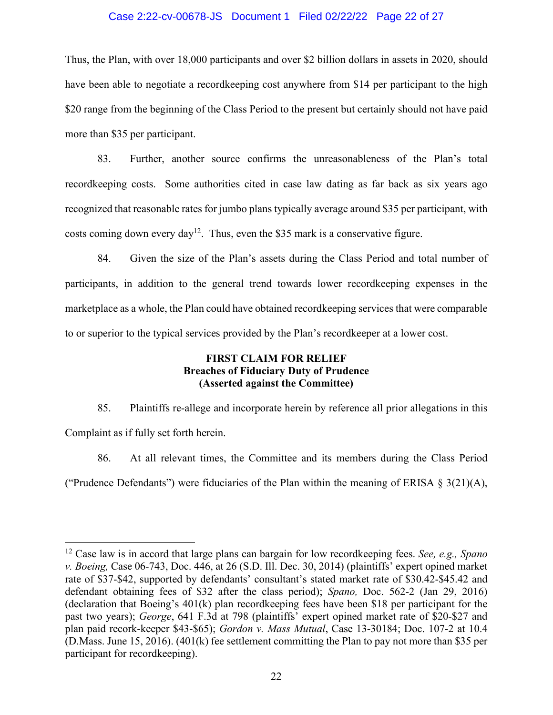## Case 2:22-cv-00678-JS Document 1 Filed 02/22/22 Page 22 of 27

Thus, the Plan, with over 18,000 participants and over \$2 billion dollars in assets in 2020, should have been able to negotiate a recordkeeping cost anywhere from \$14 per participant to the high \$20 range from the beginning of the Class Period to the present but certainly should not have paid more than \$35 per participant.

83. Further, another source confirms the unreasonableness of the Plan's total recordkeeping costs. Some authorities cited in case law dating as far back as six years ago recognized that reasonable rates for jumbo plans typically average around \$35 per participant, with costs coming down every day<sup>12</sup>. Thus, even the \$35 mark is a conservative figure.

84. Given the size of the Plan's assets during the Class Period and total number of participants, in addition to the general trend towards lower recordkeeping expenses in the marketplace as a whole, the Plan could have obtained recordkeeping services that were comparable to or superior to the typical services provided by the Plan's recordkeeper at a lower cost.

# **FIRST CLAIM FOR RELIEF Breaches of Fiduciary Duty of Prudence (Asserted against the Committee)**

85. Plaintiffs re-allege and incorporate herein by reference all prior allegations in this Complaint as if fully set forth herein.

86. At all relevant times, the Committee and its members during the Class Period ("Prudence Defendants") were fiduciaries of the Plan within the meaning of ERISA  $\S 3(21)(A)$ ,

<sup>12</sup> Case law is in accord that large plans can bargain for low recordkeeping fees. *See, e.g., Spano v. Boeing,* Case 06-743, Doc. 446, at 26 (S.D. Ill. Dec. 30, 2014) (plaintiffs' expert opined market rate of \$37-\$42, supported by defendants' consultant's stated market rate of \$30.42-\$45.42 and defendant obtaining fees of \$32 after the class period); *Spano,* Doc. 562-2 (Jan 29, 2016) (declaration that Boeing's 401(k) plan recordkeeping fees have been \$18 per participant for the past two years); *George*, 641 F.3d at 798 (plaintiffs' expert opined market rate of \$20-\$27 and plan paid recork-keeper \$43-\$65); *Gordon v. Mass Mutual*, Case 13-30184; Doc. 107-2 at 10.4 (D.Mass. June 15, 2016). (401(k) fee settlement committing the Plan to pay not more than \$35 per participant for recordkeeping).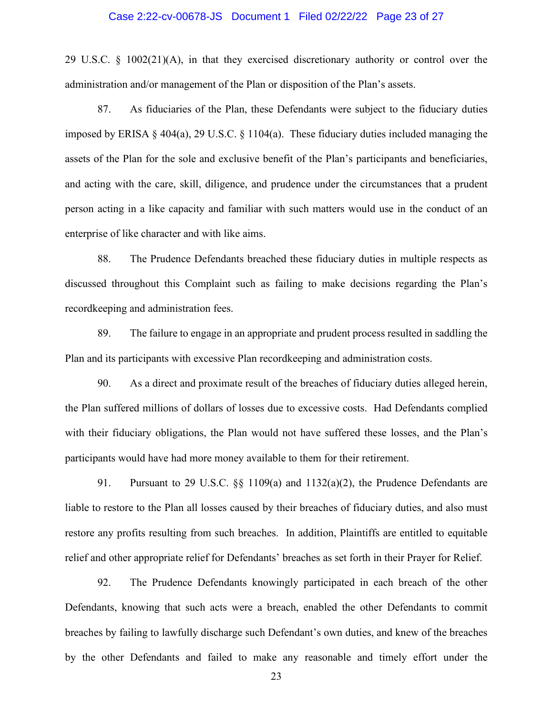### Case 2:22-cv-00678-JS Document 1 Filed 02/22/22 Page 23 of 27

29 U.S.C. § 1002(21)(A), in that they exercised discretionary authority or control over the administration and/or management of the Plan or disposition of the Plan's assets.

87. As fiduciaries of the Plan, these Defendants were subject to the fiduciary duties imposed by ERISA § 404(a), 29 U.S.C. § 1104(a). These fiduciary duties included managing the assets of the Plan for the sole and exclusive benefit of the Plan's participants and beneficiaries, and acting with the care, skill, diligence, and prudence under the circumstances that a prudent person acting in a like capacity and familiar with such matters would use in the conduct of an enterprise of like character and with like aims.

88. The Prudence Defendants breached these fiduciary duties in multiple respects as discussed throughout this Complaint such as failing to make decisions regarding the Plan's recordkeeping and administration fees.

89. The failure to engage in an appropriate and prudent process resulted in saddling the Plan and its participants with excessive Plan recordkeeping and administration costs.

90. As a direct and proximate result of the breaches of fiduciary duties alleged herein, the Plan suffered millions of dollars of losses due to excessive costs. Had Defendants complied with their fiduciary obligations, the Plan would not have suffered these losses, and the Plan's participants would have had more money available to them for their retirement.

91. Pursuant to 29 U.S.C. §§ 1109(a) and 1132(a)(2), the Prudence Defendants are liable to restore to the Plan all losses caused by their breaches of fiduciary duties, and also must restore any profits resulting from such breaches. In addition, Plaintiffs are entitled to equitable relief and other appropriate relief for Defendants' breaches as set forth in their Prayer for Relief.

92. The Prudence Defendants knowingly participated in each breach of the other Defendants, knowing that such acts were a breach, enabled the other Defendants to commit breaches by failing to lawfully discharge such Defendant's own duties, and knew of the breaches by the other Defendants and failed to make any reasonable and timely effort under the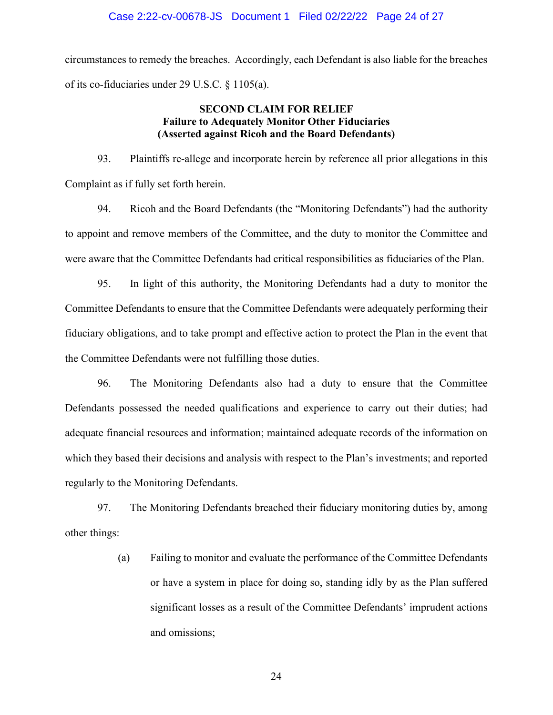circumstances to remedy the breaches. Accordingly, each Defendant is also liable for the breaches of its co-fiduciaries under 29 U.S.C. § 1105(a).

# **SECOND CLAIM FOR RELIEF Failure to Adequately Monitor Other Fiduciaries (Asserted against Ricoh and the Board Defendants)**

93. Plaintiffs re-allege and incorporate herein by reference all prior allegations in this Complaint as if fully set forth herein.

94. Ricoh and the Board Defendants (the "Monitoring Defendants") had the authority to appoint and remove members of the Committee, and the duty to monitor the Committee and were aware that the Committee Defendants had critical responsibilities as fiduciaries of the Plan.

95. In light of this authority, the Monitoring Defendants had a duty to monitor the Committee Defendants to ensure that the Committee Defendants were adequately performing their fiduciary obligations, and to take prompt and effective action to protect the Plan in the event that the Committee Defendants were not fulfilling those duties.

96. The Monitoring Defendants also had a duty to ensure that the Committee Defendants possessed the needed qualifications and experience to carry out their duties; had adequate financial resources and information; maintained adequate records of the information on which they based their decisions and analysis with respect to the Plan's investments; and reported regularly to the Monitoring Defendants.

97. The Monitoring Defendants breached their fiduciary monitoring duties by, among other things:

> (a) Failing to monitor and evaluate the performance of the Committee Defendants or have a system in place for doing so, standing idly by as the Plan suffered significant losses as a result of the Committee Defendants' imprudent actions and omissions;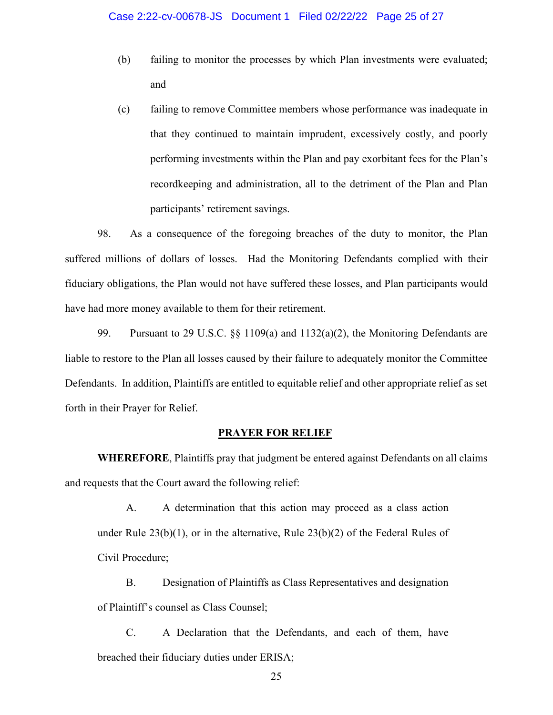- (b) failing to monitor the processes by which Plan investments were evaluated; and
- (c) failing to remove Committee members whose performance was inadequate in that they continued to maintain imprudent, excessively costly, and poorly performing investments within the Plan and pay exorbitant fees for the Plan's recordkeeping and administration, all to the detriment of the Plan and Plan participants' retirement savings.

98. As a consequence of the foregoing breaches of the duty to monitor, the Plan suffered millions of dollars of losses. Had the Monitoring Defendants complied with their fiduciary obligations, the Plan would not have suffered these losses, and Plan participants would have had more money available to them for their retirement.

99. Pursuant to 29 U.S.C. §§ 1109(a) and 1132(a)(2), the Monitoring Defendants are liable to restore to the Plan all losses caused by their failure to adequately monitor the Committee Defendants. In addition, Plaintiffs are entitled to equitable relief and other appropriate relief as set forth in their Prayer for Relief.

## **PRAYER FOR RELIEF**

**WHEREFORE**, Plaintiffs pray that judgment be entered against Defendants on all claims and requests that the Court award the following relief:

A. A determination that this action may proceed as a class action under Rule  $23(b)(1)$ , or in the alternative, Rule  $23(b)(2)$  of the Federal Rules of Civil Procedure;

B. Designation of Plaintiffs as Class Representatives and designation of Plaintiff's counsel as Class Counsel;

C. A Declaration that the Defendants, and each of them, have breached their fiduciary duties under ERISA;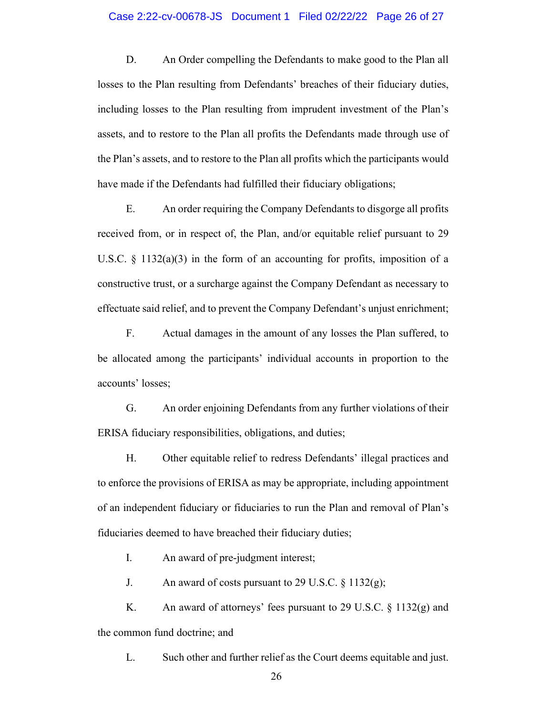### Case 2:22-cv-00678-JS Document 1 Filed 02/22/22 Page 26 of 27

D. An Order compelling the Defendants to make good to the Plan all losses to the Plan resulting from Defendants' breaches of their fiduciary duties, including losses to the Plan resulting from imprudent investment of the Plan's assets, and to restore to the Plan all profits the Defendants made through use of the Plan's assets, and to restore to the Plan all profits which the participants would have made if the Defendants had fulfilled their fiduciary obligations;

E. An order requiring the Company Defendants to disgorge all profits received from, or in respect of, the Plan, and/or equitable relief pursuant to 29 U.S.C.  $\S$  1132(a)(3) in the form of an accounting for profits, imposition of a constructive trust, or a surcharge against the Company Defendant as necessary to effectuate said relief, and to prevent the Company Defendant's unjust enrichment;

F. Actual damages in the amount of any losses the Plan suffered, to be allocated among the participants' individual accounts in proportion to the accounts' losses;

G. An order enjoining Defendants from any further violations of their ERISA fiduciary responsibilities, obligations, and duties;

H. Other equitable relief to redress Defendants' illegal practices and to enforce the provisions of ERISA as may be appropriate, including appointment of an independent fiduciary or fiduciaries to run the Plan and removal of Plan's fiduciaries deemed to have breached their fiduciary duties;

I. An award of pre-judgment interest;

J. An award of costs pursuant to 29 U.S.C.  $\S 1132(g)$ ;

K. An award of attorneys' fees pursuant to 29 U.S.C. § 1132(g) and the common fund doctrine; and

L. Such other and further relief as the Court deems equitable and just.